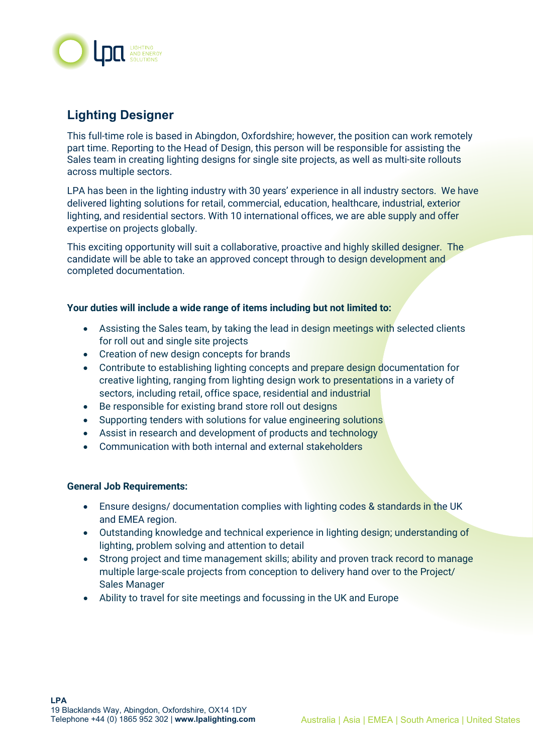

# **Lighting Designer**

This full-time role is based in Abingdon, Oxfordshire; however, the position can work remotely part time. Reporting to the Head of Design, this person will be responsible for assisting the Sales team in creating lighting designs for single site projects, as well as multi-site rollouts across multiple sectors.

LPA has been in the lighting industry with 30 years' experience in all industry sectors. We have delivered lighting solutions for retail, commercial, education, healthcare, industrial, exterior lighting, and residential sectors. With 10 international offices, we are able supply and offer expertise on projects globally.

This exciting opportunity will suit a collaborative, proactive and highly skilled designer. The candidate will be able to take an approved concept through to design development and completed documentation.

### **Your duties will include a wide range of items including but not limited to:**

- Assisting the Sales team, by taking the lead in design meetings with selected clients for roll out and single site projects
- Creation of new design concepts for brands
- Contribute to establishing lighting concepts and prepare design documentation for creative lighting, ranging from lighting design work to presentations in a variety of sectors, including retail, office space, residential and industrial
- Be responsible for existing brand store roll out designs
- Supporting tenders with solutions for value engineering solutions
- Assist in research and development of products and technology
- Communication with both internal and external stakeholders

### **General Job Requirements:**

- Ensure designs/ documentation complies with lighting codes & standards in the UK and EMEA region.
- Outstanding knowledge and technical experience in lighting design; understanding of lighting, problem solving and attention to detail
- Strong project and time management skills; ability and proven track record to manage multiple large-scale projects from conception to delivery hand over to the Project/ Sales Manager
- Ability to travel for site meetings and focussing in the UK and Europe